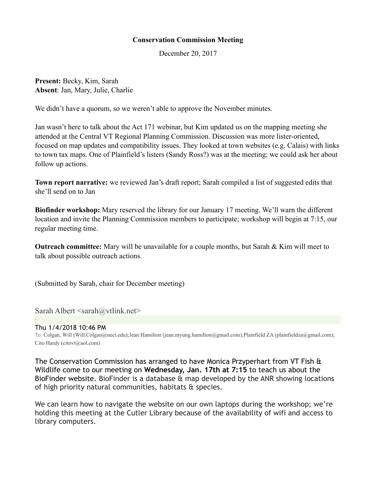## **Conservation Commission Meeting**

December 20, 2017

**Present:** Becky, Kim, Sarah **Absent**: Jan, Mary, Julie, Charlie

We didn't have a quorum, so we weren't able to approve the November minutes.

Jan wasn't here to talk about the Act 171 webinar, but Kim updated us on the mapping meeting she attended at the Central VT Regional Planning Commission. Discussion was more lister-oriented, focused on map updates and compatibility issues. They looked at town websites (e.g. Calais) with links to town tax maps. One of Plainfield's listers (Sandy Ross?) was at the meeting; we could ask her about follow up actions.

**Town report narrative:** we reviewed Jan's draft report; Sarah compiled a list of suggested edits that she'll send on to Jan

**Biofinder workshop:** Mary reserved the library for our January 17 meeting. We'll warn the different location and invite the Planning Commission members to participate; workshop will begin at 7:15, our regular meeting time.

**Outreach committee:** Mary will be unavailable for a couple months, but Sarah & Kim will meet to talk about possible outreach actions.

(Submitted by Sarah, chair for December meeting)

Sarah Albert  $\leq$ sarah $\omega$ vtlink.net $>$ 

## Thu 1/4/2018 10:46 PM

To: Colgan, Will (Will.Colgan@neci.edu);Jean Hamilton (jean.myung.hamilton@gmail.com);Plainfield ZA (plainfieldza@gmail.com); Cito Hardy (citovt@aol.com)

The Conservation Commission has arranged to have Monica Przyperhart from VT Fish & Wildlife come to our meeting on **Wednesday, Jan. 17th at 7:15** to teach us about the BioFinder website. BioFinder is a database & map developed by the ANR showing locations of high priority natural communities, habitats & species.

We can learn how to navigate the website on our own laptops during the workshop; we're holding this meeting at the Cutler Library because of the availability of wifi and access to library computers.